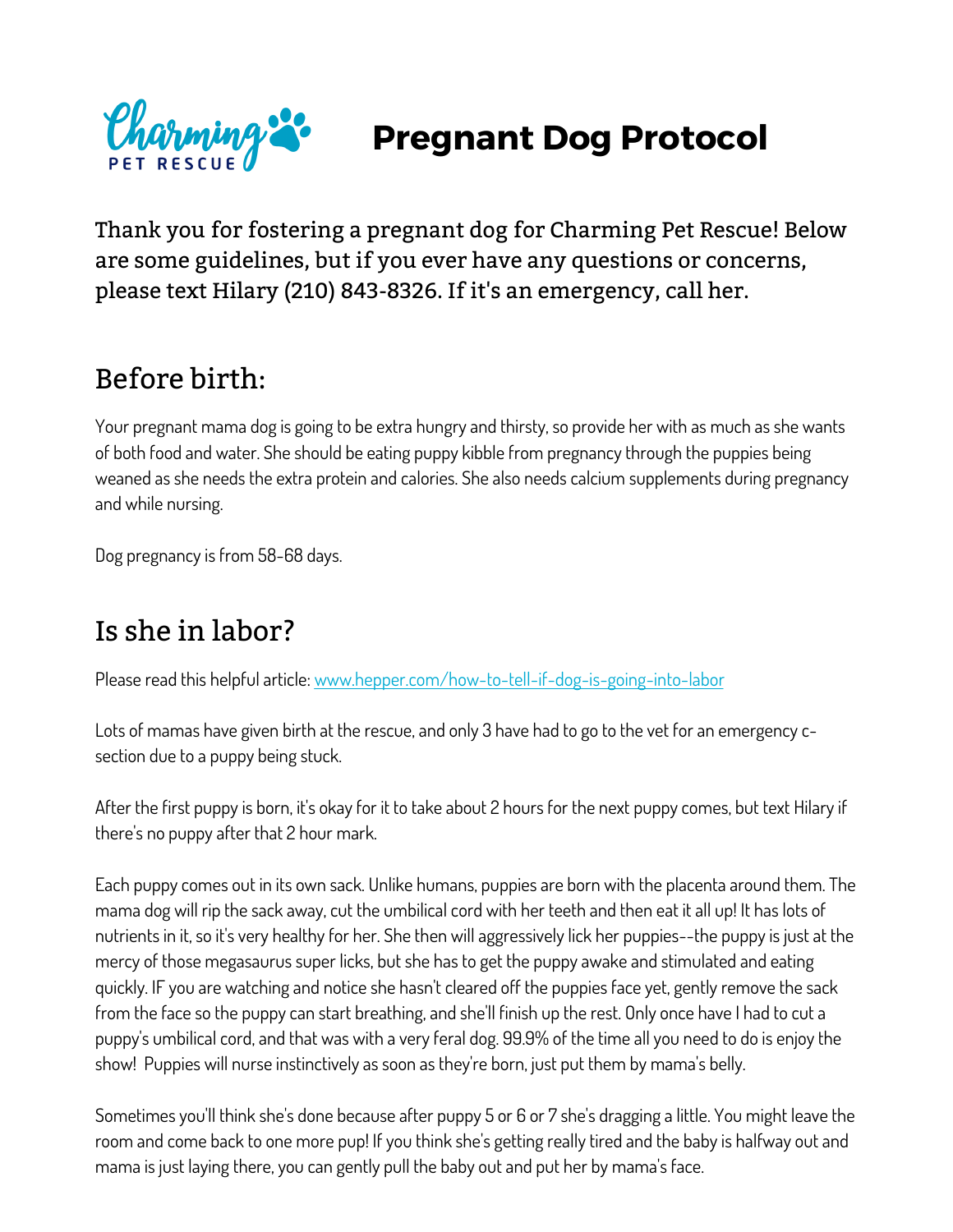

# **Pregnant Dog Protocol**

Thank you for fostering a pregnant dog for Charming Pet Rescue! Below are some guidelines, but if you ever have any questions or concerns, please text Hilary (210) 843-8326. If it's an emergency, call her.

### Before birth:

Your pregnant mama dog is going to be extra hungry and thirsty, so provide her with as much as she wants of both food and water. She should be eating puppy kibble from pregnancy through the puppies being weaned as she needs the extra protein and calories. She also needs calcium supplements during pregnancy and while nursing.

Dog pregnancy is from 58-68 days.

### Is she in labor?

Please read this helpful article: www.hepper.com/how-to-tell-if-dog-is-going-into-labor

Lots of mamas have given birth at the rescue, and only 3 have had to go to the vet for an emergency csection due to a puppy being stuck.

After the first puppy is born, it's okay for it to take about 2 hours for the next puppy comes, but text Hilary if there's no puppy after that 2 hour mark.

Each puppy comes out in its own sack. Unlike humans, puppies are born with the placenta around them. The mama dog will rip the sack away, cut the umbilical cord with her teeth and then eat it all up! It has lots of nutrients in it, so it's very healthy for her. She then will aggressively lick her puppies--the puppy is just at the mercy of those megasaurus super licks, but she has to get the puppy awake and stimulated and eating quickly. IF you are watching and notice she hasn't cleared off the puppies face yet, gently remove the sack from the face so the puppy can start breathing, and she'll finish up the rest. Only once have I had to cut a puppy's umbilical cord, and that was with a very feral dog. 99.9% of the time all you need to do is enjoy the show! Puppies will nurse instinctively as soon as they're born, just put them by mama's belly.

Sometimes you'll think she's done because after puppy 5 or 6 or 7 she's dragging a little. You might leave the room and come back to one more pup! If you think she's getting really tired and the baby is halfway out and mama is just laying there, you can gently pull the baby out and put her by mama's face.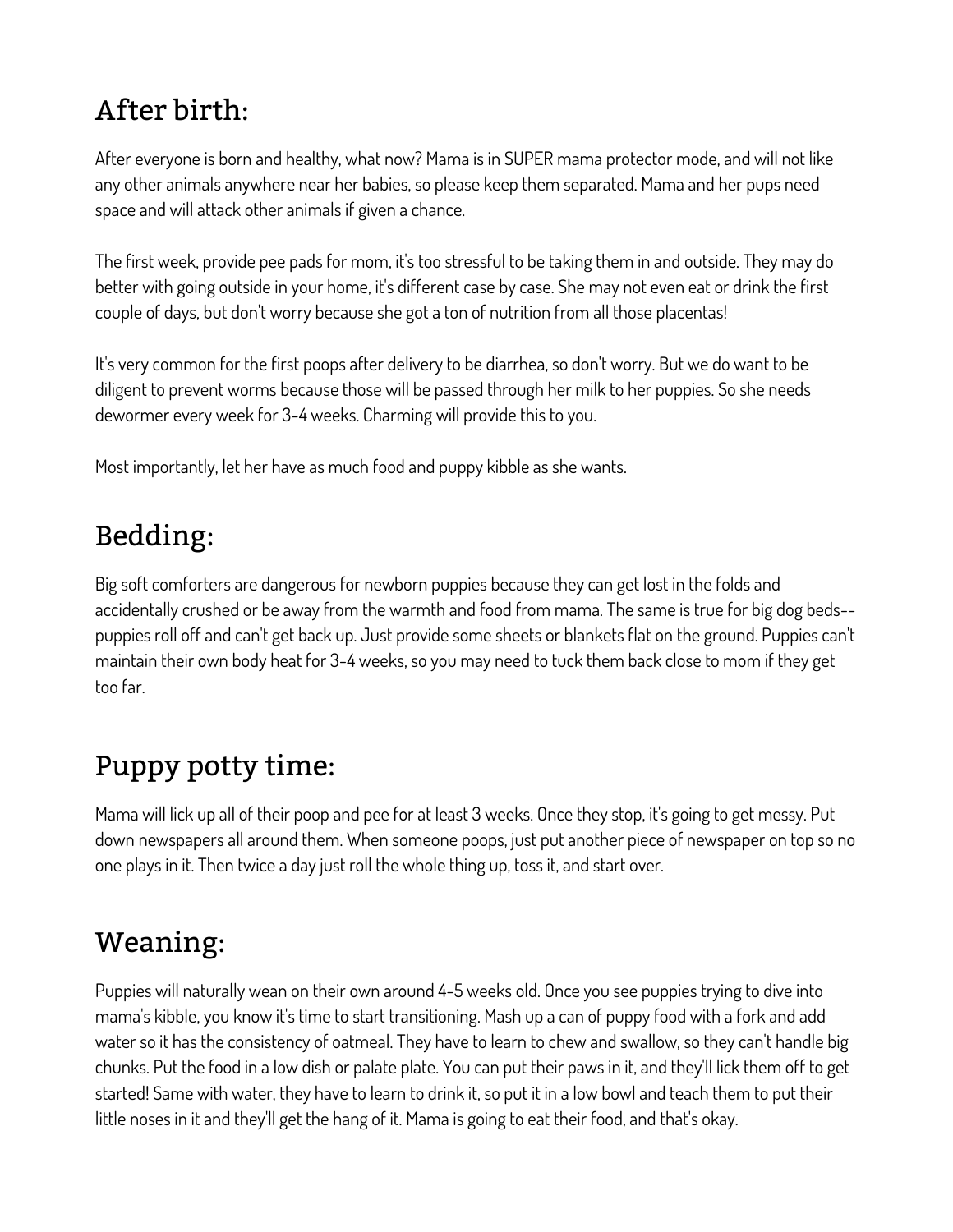# After birth:

After everyone is born and healthy, what now? Mama is in SUPER mama protector mode, and will not like any other animals anywhere near her babies, so please keep them separated. Mama and her pups need space and will attack other animals if given a chance.

The first week, provide pee pads for mom, it's too stressful to be taking them in and outside. They may do better with going outside in your home, it's different case by case. She may not even eat or drink the first couple of days, but don't worry because she got a ton of nutrition from all those placentas!

It's very common for the first poops after delivery to be diarrhea, so don't worry. But we do want to be diligent to prevent worms because those will be passed through her milk to her puppies. So she needs dewormer every week for 3-4 weeks. Charming will provide this to you.

Most importantly, let her have as much food and puppy kibble as she wants.

### Bedding:

Big soft comforters are dangerous for newborn puppies because they can get lost in the folds and accidentally crushed or be away from the warmth and food from mama. The same is true for big dog beds- puppies roll off and can't get back up. Just provide some sheets or blankets flat on the ground. Puppies can't maintain their own body heat for 3-4 weeks, so you may need to tuck them back close to mom if they get too far.

# Puppy potty time:

Mama will lick up all of their poop and pee for at least 3 weeks. Once they stop, it's going to get messy. Put down newspapers all around them. When someone poops, just put another piece of newspaper on top so no one plays in it. Then twice a day just roll the whole thing up, toss it, and start over.

### Weaning:

Puppies will naturally wean on their own around 4-5 weeks old. Once you see puppies trying to dive into mama's kibble, you know it's time to start transitioning. Mash up a can of puppy food with a fork and add water so it has the consistency of oatmeal. They have to learn to chew and swallow, so they can't handle big chunks. Put the food in a low dish or palate plate. You can put their paws in it, and they'll lick them off to get started! Same with water, they have to learn to drink it, so put it in a low bowl and teach them to put their little noses in it and they'll get the hang of it. Mama is going to eat their food, and that's okay.